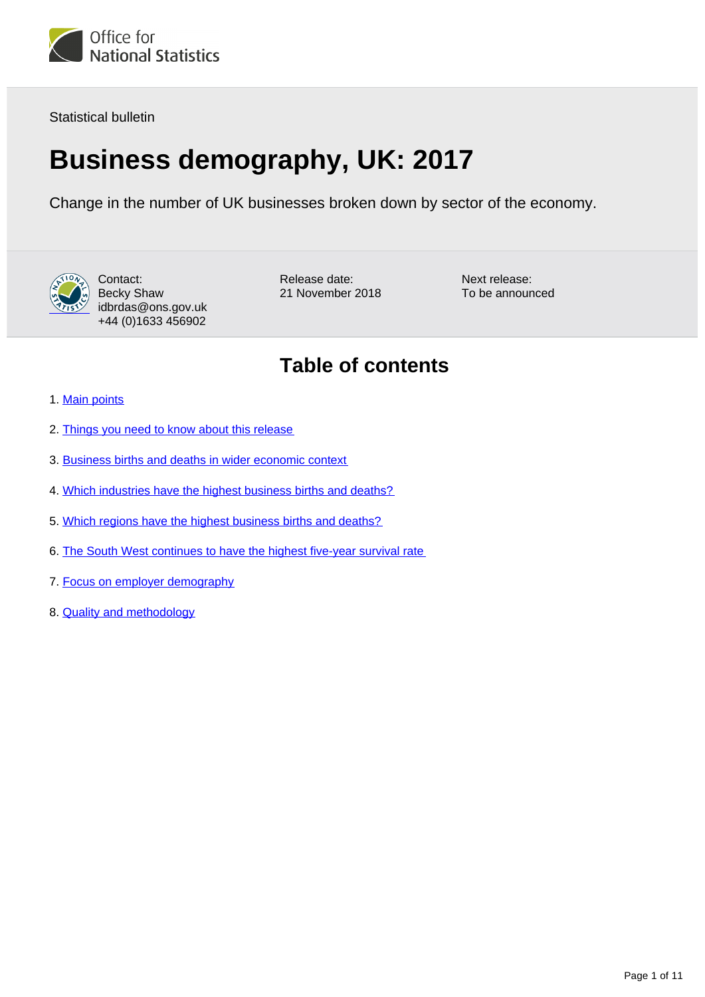

Statistical bulletin

# **Business demography, UK: 2017**

Change in the number of UK businesses broken down by sector of the economy.



Contact: Becky Shaw idbrdas@ons.gov.uk +44 (0)1633 456902

Release date: 21 November 2018 Next release: To be announced

## **Table of contents**

- 1. [Main points](#page-1-0)
- 2. [Things you need to know about this release](#page-1-1)
- 3. [Business births and deaths in wider economic context](#page-2-0)
- 4. [Which industries have the highest business births and deaths?](#page-4-0)
- 5. [Which regions have the highest business births and deaths?](#page-5-0)
- 6. [The South West continues to have the highest five-year survival rate](#page-6-0)
- 7. [Focus on employer demography](#page-7-0)
- 8. [Quality and methodology](#page-9-0)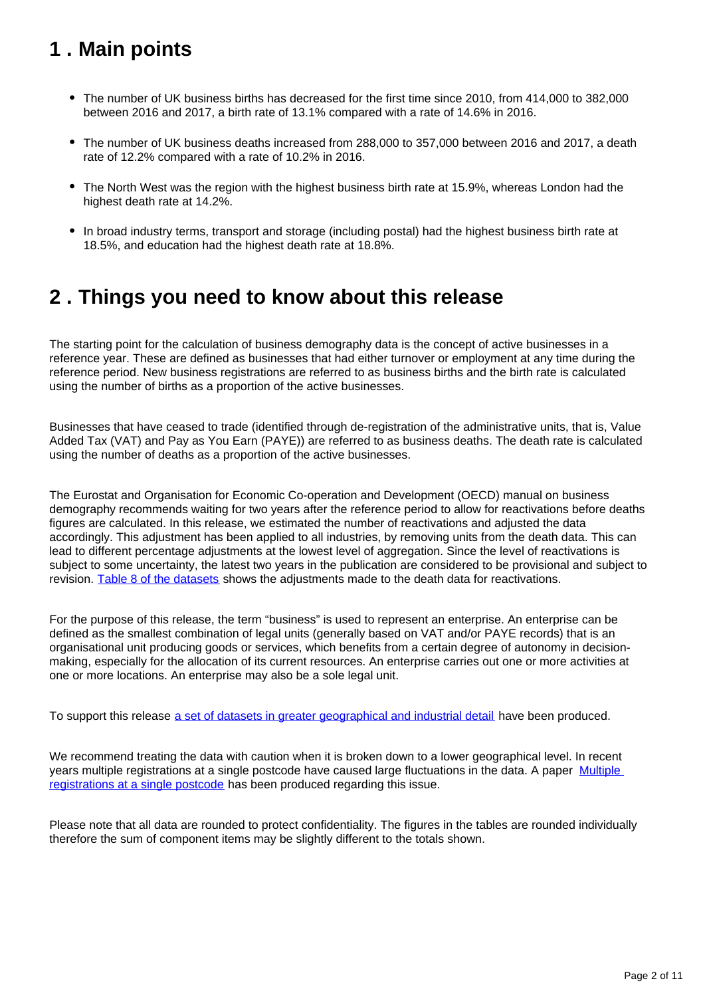## <span id="page-1-0"></span>**1 . Main points**

- The number of UK business births has decreased for the first time since 2010, from 414,000 to 382,000 between 2016 and 2017, a birth rate of 13.1% compared with a rate of 14.6% in 2016.
- The number of UK business deaths increased from 288,000 to 357,000 between 2016 and 2017, a death rate of 12.2% compared with a rate of 10.2% in 2016.
- The North West was the region with the highest business birth rate at 15.9%, whereas London had the highest death rate at 14.2%.
- In broad industry terms, transport and storage (including postal) had the highest business birth rate at 18.5%, and education had the highest death rate at 18.8%.

### <span id="page-1-1"></span>**2 . Things you need to know about this release**

The starting point for the calculation of business demography data is the concept of active businesses in a reference year. These are defined as businesses that had either turnover or employment at any time during the reference period. New business registrations are referred to as business births and the birth rate is calculated using the number of births as a proportion of the active businesses.

Businesses that have ceased to trade (identified through de-registration of the administrative units, that is, Value Added Tax (VAT) and Pay as You Earn (PAYE)) are referred to as business deaths. The death rate is calculated using the number of deaths as a proportion of the active businesses.

The Eurostat and Organisation for Economic Co-operation and Development (OECD) manual on business demography recommends waiting for two years after the reference period to allow for reactivations before deaths figures are calculated. In this release, we estimated the number of reactivations and adjusted the data accordingly. This adjustment has been applied to all industries, by removing units from the death data. This can lead to different percentage adjustments at the lowest level of aggregation. Since the level of reactivations is subject to some uncertainty, the latest two years in the publication are considered to be provisional and subject to revision. [Table 8 of the datasets](https://www.ons.gov.uk/businessindustryandtrade/business/activitysizeandlocation/datasets/businessdemographyreferencetable) shows the adjustments made to the death data for reactivations.

For the purpose of this release, the term "business" is used to represent an enterprise. An enterprise can be defined as the smallest combination of legal units (generally based on VAT and/or PAYE records) that is an organisational unit producing goods or services, which benefits from a certain degree of autonomy in decisionmaking, especially for the allocation of its current resources. An enterprise carries out one or more activities at one or more locations. An enterprise may also be a sole legal unit.

To support this release [a set of datasets in greater geographical and industrial detail](https://www.ons.gov.uk/businessindustryandtrade/business/activitysizeandlocation/datasets/businessdemographyreferencetable) have been produced.

We recommend treating the data with caution when it is broken down to a lower geographical level. In recent years multiple registrations at a single postcode have caused large fluctuations in the data. A paper [Multiple](https://www.ons.gov.uk/businessindustryandtrade/business/activitysizeandlocation/methodologies/multipleregistrationsatasinglepostcode)  [registrations at a single postcode](https://www.ons.gov.uk/businessindustryandtrade/business/activitysizeandlocation/methodologies/multipleregistrationsatasinglepostcode) has been produced regarding this issue.

Please note that all data are rounded to protect confidentiality. The figures in the tables are rounded individually therefore the sum of component items may be slightly different to the totals shown.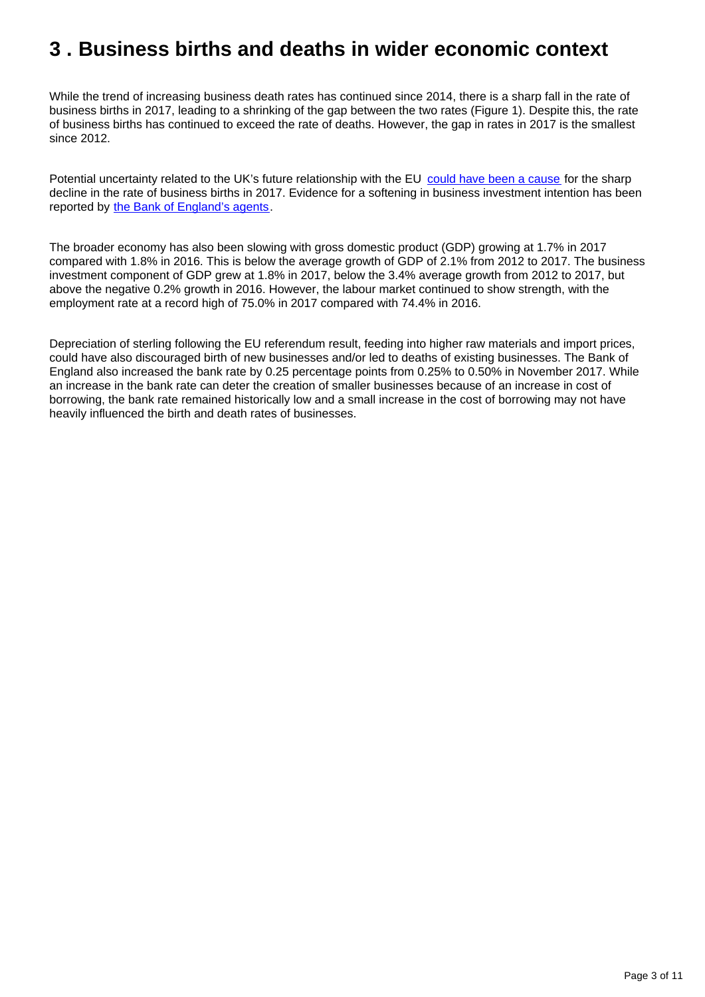### <span id="page-2-0"></span>**3 . Business births and deaths in wider economic context**

While the trend of increasing business death rates has continued since 2014, there is a sharp fall in the rate of business births in 2017, leading to a shrinking of the gap between the two rates (Figure 1). Despite this, the rate of business births has continued to exceed the rate of deaths. However, the gap in rates in 2017 is the smallest since 2012.

Potential uncertainty related to the UK's future relationship with the EU [could have been a cause](https://www.bankofengland.co.uk/-/media/boe/files/working-paper/2018/business-investment-cash-holding-and-uncertainty-since-the-great-financial-crisis.pdf?la=en&hash=0DC7046892F5EEF45C95C28225937CFB8CA7A20B) for the sharp decline in the rate of business births in 2017. Evidence for a softening in business investment intention has been reported by [the Bank of England's agents](https://www.bankofengland.co.uk/news?NewsTypes=ce90163e489841e0b66d06243d35d5cb&Taxonomies=862f553992364544bce61d87ed06c5e7&InfiniteScrolling=False&Direction=Latest).

The broader economy has also been slowing with gross domestic product (GDP) growing at 1.7% in 2017 compared with 1.8% in 2016. This is below the average growth of GDP of 2.1% from 2012 to 2017. The business investment component of GDP grew at 1.8% in 2017, below the 3.4% average growth from 2012 to 2017, but above the negative 0.2% growth in 2016. However, the labour market continued to show strength, with the employment rate at a record high of 75.0% in 2017 compared with 74.4% in 2016.

Depreciation of sterling following the EU referendum result, feeding into higher raw materials and import prices, could have also discouraged birth of new businesses and/or led to deaths of existing businesses. The Bank of England also increased the bank rate by 0.25 percentage points from 0.25% to 0.50% in November 2017. While an increase in the bank rate can deter the creation of smaller businesses because of an increase in cost of borrowing, the bank rate remained historically low and a small increase in the cost of borrowing may not have heavily influenced the birth and death rates of businesses.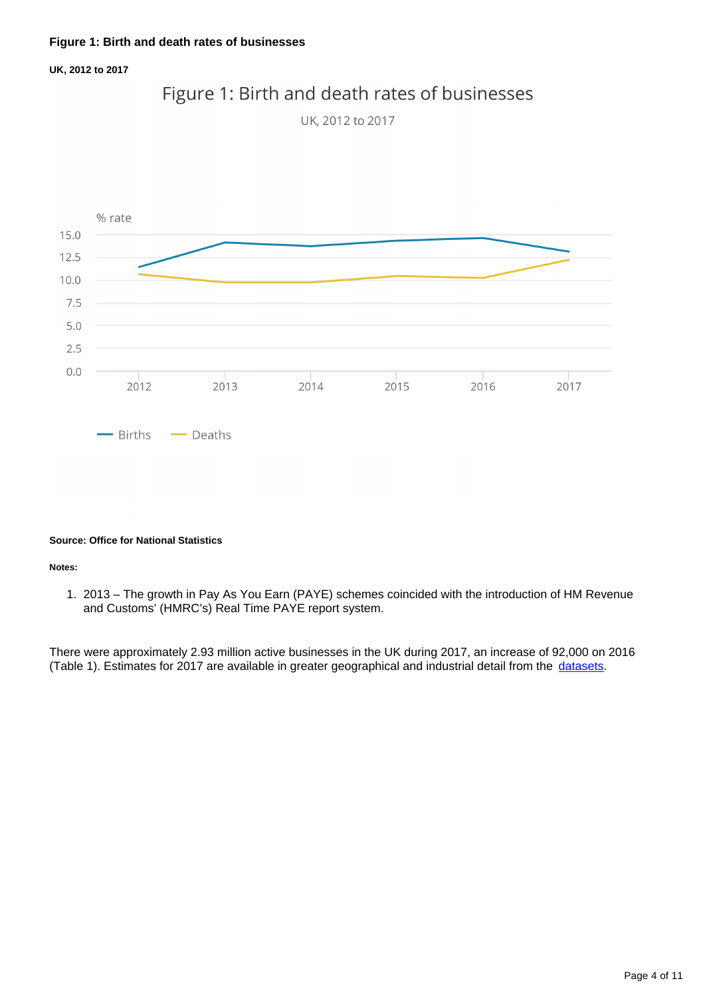#### **UK, 2012 to 2017**



### Figure 1: Birth and death rates of businesses

#### **Source: Office for National Statistics**

#### **Notes:**

1. 2013 – The growth in Pay As You Earn (PAYE) schemes coincided with the introduction of HM Revenue and Customs' (HMRC's) Real Time PAYE report system.

There were approximately 2.93 million active businesses in the UK during 2017, an increase of 92,000 on 2016 (Table 1). Estimates for 2017 are available in greater geographical and industrial detail from the [datasets](https://www.ons.gov.uk/businessindustryandtrade/business/activitysizeandlocation/datasets/businessdemographyreferencetable).

UK, 2012 to 2017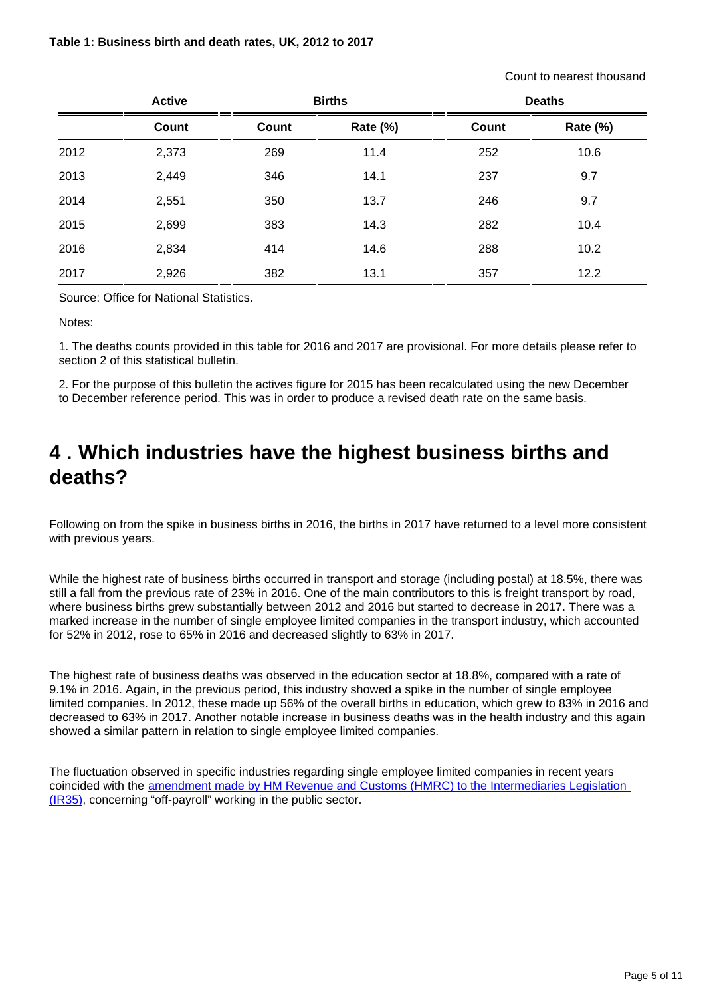#### **Table 1: Business birth and death rates, UK, 2012 to 2017**

Count to nearest thousand

|      | <b>Active</b> |              | <b>Births</b> |              | <b>Deaths</b> |
|------|---------------|--------------|---------------|--------------|---------------|
|      | Count         | <b>Count</b> | Rate (%)      | <b>Count</b> | Rate (%)      |
| 2012 | 2,373         | 269          | 11.4          | 252          | 10.6          |
| 2013 | 2,449         | 346          | 14.1          | 237          | 9.7           |
| 2014 | 2,551         | 350          | 13.7          | 246          | 9.7           |
| 2015 | 2,699         | 383          | 14.3          | 282          | 10.4          |
| 2016 | 2,834         | 414          | 14.6          | 288          | 10.2          |
| 2017 | 2,926         | 382          | 13.1          | 357          | 12.2          |

Source: Office for National Statistics.

Notes:

1. The deaths counts provided in this table for 2016 and 2017 are provisional. For more details please refer to section 2 of this statistical bulletin.

2. For the purpose of this bulletin the actives figure for 2015 has been recalculated using the new December to December reference period. This was in order to produce a revised death rate on the same basis.

### <span id="page-4-0"></span>**4 . Which industries have the highest business births and deaths?**

Following on from the spike in business births in 2016, the births in 2017 have returned to a level more consistent with previous years.

While the highest rate of business births occurred in transport and storage (including postal) at 18.5%, there was still a fall from the previous rate of 23% in 2016. One of the main contributors to this is freight transport by road, where business births grew substantially between 2012 and 2016 but started to decrease in 2017. There was a marked increase in the number of single employee limited companies in the transport industry, which accounted for 52% in 2012, rose to 65% in 2016 and decreased slightly to 63% in 2017.

The highest rate of business deaths was observed in the education sector at 18.8%, compared with a rate of 9.1% in 2016. Again, in the previous period, this industry showed a spike in the number of single employee limited companies. In 2012, these made up 56% of the overall births in education, which grew to 83% in 2016 and decreased to 63% in 2017. Another notable increase in business deaths was in the health industry and this again showed a similar pattern in relation to single employee limited companies.

The fluctuation observed in specific industries regarding single employee limited companies in recent years coincided with the [amendment made by HM Revenue and Customs \(HMRC\) to the Intermediaries Legislation](https://www.gov.uk/government/publications/off-payroll-working-in-the-public-sector-reform-of-the-intermediaries-legislation-technical-note/off-payroll-working-in-the-public-sector-reform-of-the-intermediaries-legislation-information-for-agents)  [\(IR35\),](https://www.gov.uk/government/publications/off-payroll-working-in-the-public-sector-reform-of-the-intermediaries-legislation-technical-note/off-payroll-working-in-the-public-sector-reform-of-the-intermediaries-legislation-information-for-agents) concerning "off-payroll" working in the public sector.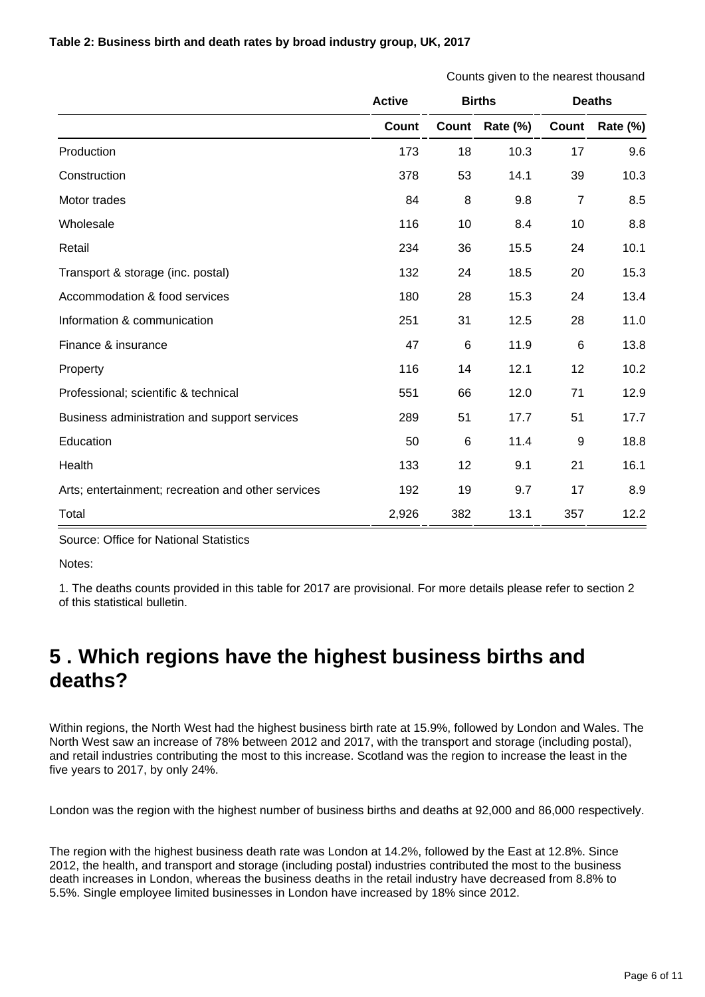#### **Table 2: Business birth and death rates by broad industry group, UK, 2017**

|                                                    | Counts given to the nearest thousand |               |          |                |                 |
|----------------------------------------------------|--------------------------------------|---------------|----------|----------------|-----------------|
|                                                    | <b>Active</b>                        | <b>Births</b> |          | <b>Deaths</b>  |                 |
|                                                    | Count                                | Count         | Rate (%) | Count          | <b>Rate (%)</b> |
| Production                                         | 173                                  | 18            | 10.3     | 17             | 9.6             |
| Construction                                       | 378                                  | 53            | 14.1     | 39             | 10.3            |
| Motor trades                                       | 84                                   | 8             | 9.8      | $\overline{7}$ | 8.5             |
| Wholesale                                          | 116                                  | 10            | 8.4      | 10             | 8.8             |
| Retail                                             | 234                                  | 36            | 15.5     | 24             | 10.1            |
| Transport & storage (inc. postal)                  | 132                                  | 24            | 18.5     | 20             | 15.3            |
| Accommodation & food services                      | 180                                  | 28            | 15.3     | 24             | 13.4            |
| Information & communication                        | 251                                  | 31            | 12.5     | 28             | 11.0            |
| Finance & insurance                                | 47                                   | 6             | 11.9     | 6              | 13.8            |
| Property                                           | 116                                  | 14            | 12.1     | 12             | 10.2            |
| Professional; scientific & technical               | 551                                  | 66            | 12.0     | 71             | 12.9            |
| Business administration and support services       | 289                                  | 51            | 17.7     | 51             | 17.7            |
| Education                                          | 50                                   | 6             | 11.4     | 9              | 18.8            |
| Health                                             | 133                                  | 12            | 9.1      | 21             | 16.1            |
| Arts; entertainment; recreation and other services | 192                                  | 19            | 9.7      | 17             | 8.9             |
| Total                                              | 2,926                                | 382           | 13.1     | 357            | 12.2            |

Source: Office for National Statistics

Notes:

1. The deaths counts provided in this table for 2017 are provisional. For more details please refer to section 2 of this statistical bulletin.

## <span id="page-5-0"></span>**5 . Which regions have the highest business births and deaths?**

Within regions, the North West had the highest business birth rate at 15.9%, followed by London and Wales. The North West saw an increase of 78% between 2012 and 2017, with the transport and storage (including postal), and retail industries contributing the most to this increase. Scotland was the region to increase the least in the five years to 2017, by only 24%.

London was the region with the highest number of business births and deaths at 92,000 and 86,000 respectively.

The region with the highest business death rate was London at 14.2%, followed by the East at 12.8%. Since 2012, the health, and transport and storage (including postal) industries contributed the most to the business death increases in London, whereas the business deaths in the retail industry have decreased from 8.8% to 5.5%. Single employee limited businesses in London have increased by 18% since 2012.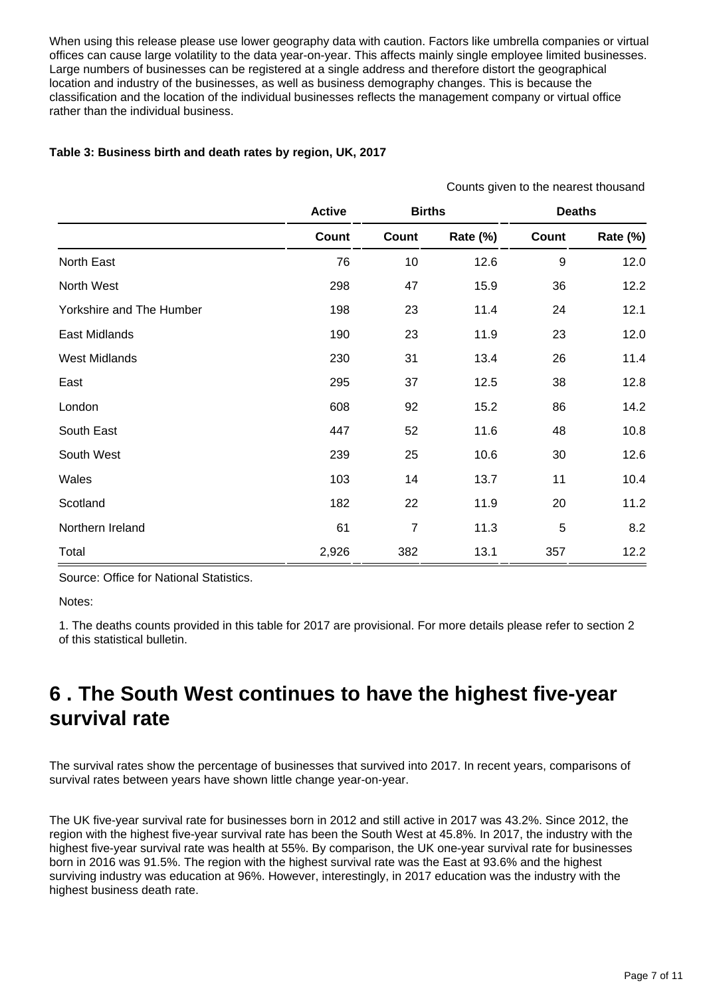When using this release please use lower geography data with caution. Factors like umbrella companies or virtual offices can cause large volatility to the data year-on-year. This affects mainly single employee limited businesses. Large numbers of businesses can be registered at a single address and therefore distort the geographical location and industry of the businesses, as well as business demography changes. This is because the classification and the location of the individual businesses reflects the management company or virtual office rather than the individual business.

#### **Table 3: Business birth and death rates by region, UK, 2017**

|                          |               |                |          |               | Counts given to the nearest thousand |  |
|--------------------------|---------------|----------------|----------|---------------|--------------------------------------|--|
|                          | <b>Active</b> | <b>Births</b>  |          | <b>Deaths</b> |                                      |  |
|                          | Count         | Count          | Rate (%) | Count         | Rate (%)                             |  |
| North East               | 76            | 10             | 12.6     | 9             | 12.0                                 |  |
| North West               | 298           | 47             | 15.9     | 36            | 12.2                                 |  |
| Yorkshire and The Humber | 198           | 23             | 11.4     | 24            | 12.1                                 |  |
| East Midlands            | 190           | 23             | 11.9     | 23            | 12.0                                 |  |
| <b>West Midlands</b>     | 230           | 31             | 13.4     | 26            | 11.4                                 |  |
| East                     | 295           | 37             | 12.5     | 38            | 12.8                                 |  |
| London                   | 608           | 92             | 15.2     | 86            | 14.2                                 |  |
| South East               | 447           | 52             | 11.6     | 48            | 10.8                                 |  |
| South West               | 239           | 25             | 10.6     | 30            | 12.6                                 |  |
| Wales                    | 103           | 14             | 13.7     | 11            | 10.4                                 |  |
| Scotland                 | 182           | 22             | 11.9     | 20            | 11.2                                 |  |
| Northern Ireland         | 61            | $\overline{7}$ | 11.3     | 5             | 8.2                                  |  |
| Total                    | 2,926         | 382            | 13.1     | 357           | 12.2                                 |  |

Source: Office for National Statistics.

Notes:

1. The deaths counts provided in this table for 2017 are provisional. For more details please refer to section 2 of this statistical bulletin.

### <span id="page-6-0"></span>**6 . The South West continues to have the highest five-year survival rate**

The survival rates show the percentage of businesses that survived into 2017. In recent years, comparisons of survival rates between years have shown little change year-on-year.

The UK five-year survival rate for businesses born in 2012 and still active in 2017 was 43.2%. Since 2012, the region with the highest five-year survival rate has been the South West at 45.8%. In 2017, the industry with the highest five-year survival rate was health at 55%. By comparison, the UK one-year survival rate for businesses born in 2016 was 91.5%. The region with the highest survival rate was the East at 93.6% and the highest surviving industry was education at 96%. However, interestingly, in 2017 education was the industry with the highest business death rate.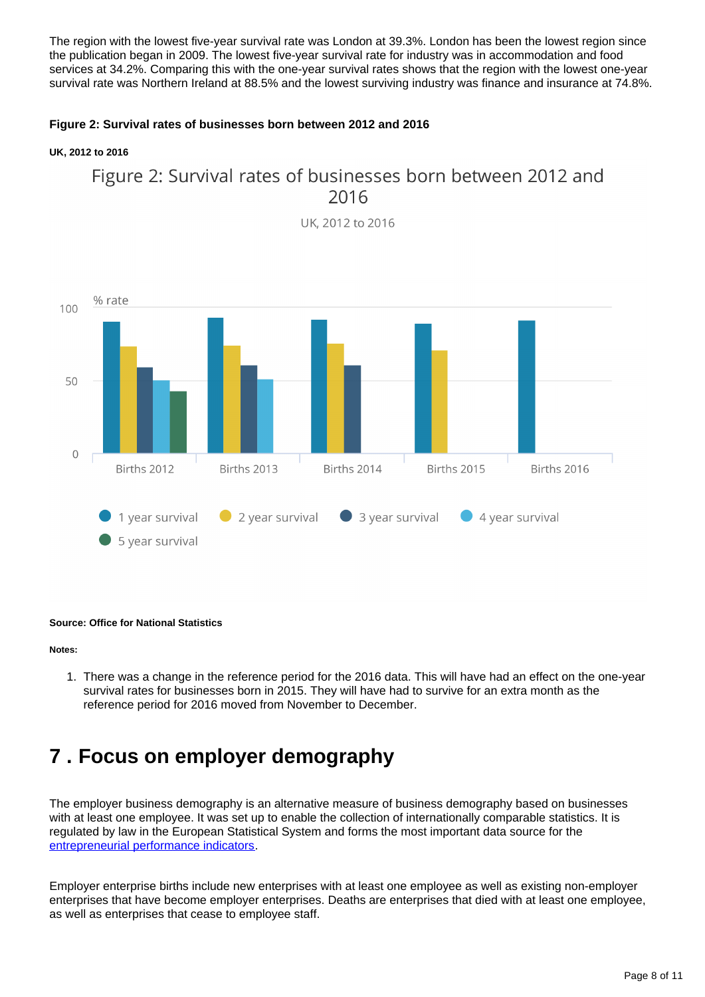The region with the lowest five-year survival rate was London at 39.3%. London has been the lowest region since the publication began in 2009. The lowest five-year survival rate for industry was in accommodation and food services at 34.2%. Comparing this with the one-year survival rates shows that the region with the lowest one-year survival rate was Northern Ireland at 88.5% and the lowest surviving industry was finance and insurance at 74.8%.

#### **Figure 2: Survival rates of businesses born between 2012 and 2016**

#### **UK, 2012 to 2016**



UK. 2012 to 2016



#### **Source: Office for National Statistics**

#### **Notes:**

1. There was a change in the reference period for the 2016 data. This will have had an effect on the one-year survival rates for businesses born in 2015. They will have had to survive for an extra month as the reference period for 2016 moved from November to December.

### <span id="page-7-0"></span>**7 . Focus on employer demography**

The employer business demography is an alternative measure of business demography based on businesses with at least one employee. It was set up to enable the collection of internationally comparable statistics. It is regulated by law in the European Statistical System and forms the most important data source for the [entrepreneurial performance indicators](http://ec.europa.eu/eurostat/web/structural-business-statistics/entrepreneurship/indicators).

Employer enterprise births include new enterprises with at least one employee as well as existing non-employer enterprises that have become employer enterprises. Deaths are enterprises that died with at least one employee, as well as enterprises that cease to employee staff.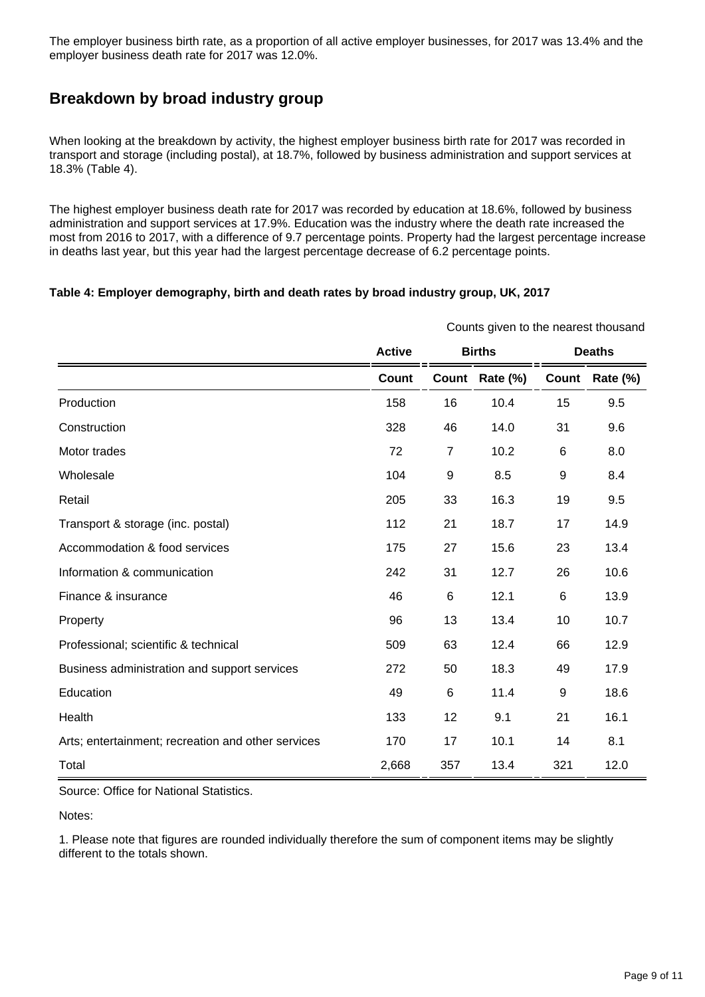The employer business birth rate, as a proportion of all active employer businesses, for 2017 was 13.4% and the employer business death rate for 2017 was 12.0%.

### **Breakdown by broad industry group**

When looking at the breakdown by activity, the highest employer business birth rate for 2017 was recorded in transport and storage (including postal), at 18.7%, followed by business administration and support services at 18.3% (Table 4).

The highest employer business death rate for 2017 was recorded by education at 18.6%, followed by business administration and support services at 17.9%. Education was the industry where the death rate increased the most from 2016 to 2017, with a difference of 9.7 percentage points. Property had the largest percentage increase in deaths last year, but this year had the largest percentage decrease of 6.2 percentage points.

#### **Table 4: Employer demography, birth and death rates by broad industry group, UK, 2017**

|                                                    | Counts given to the nearest thousand |                |          |               |          |
|----------------------------------------------------|--------------------------------------|----------------|----------|---------------|----------|
|                                                    | <b>Active</b>                        | <b>Births</b>  |          | <b>Deaths</b> |          |
|                                                    | <b>Count</b>                         | Count          | Rate (%) | Count         | Rate (%) |
| Production                                         | 158                                  | 16             | 10.4     | 15            | 9.5      |
| Construction                                       | 328                                  | 46             | 14.0     | 31            | 9.6      |
| Motor trades                                       | 72                                   | $\overline{7}$ | 10.2     | $\,6$         | 8.0      |
| Wholesale                                          | 104                                  | 9              | 8.5      | 9             | 8.4      |
| Retail                                             | 205                                  | 33             | 16.3     | 19            | 9.5      |
| Transport & storage (inc. postal)                  | 112                                  | 21             | 18.7     | 17            | 14.9     |
| Accommodation & food services                      | 175                                  | 27             | 15.6     | 23            | 13.4     |
| Information & communication                        | 242                                  | 31             | 12.7     | 26            | 10.6     |
| Finance & insurance                                | 46                                   | 6              | 12.1     | 6             | 13.9     |
| Property                                           | 96                                   | 13             | 13.4     | 10            | 10.7     |
| Professional; scientific & technical               | 509                                  | 63             | 12.4     | 66            | 12.9     |
| Business administration and support services       | 272                                  | 50             | 18.3     | 49            | 17.9     |
| Education                                          | 49                                   | 6              | 11.4     | 9             | 18.6     |
| Health                                             | 133                                  | 12             | 9.1      | 21            | 16.1     |
| Arts; entertainment; recreation and other services | 170                                  | 17             | 10.1     | 14            | 8.1      |
| Total                                              | 2,668                                | 357            | 13.4     | 321           | 12.0     |

Source: Office for National Statistics.

Notes:

1. Please note that figures are rounded individually therefore the sum of component items may be slightly different to the totals shown.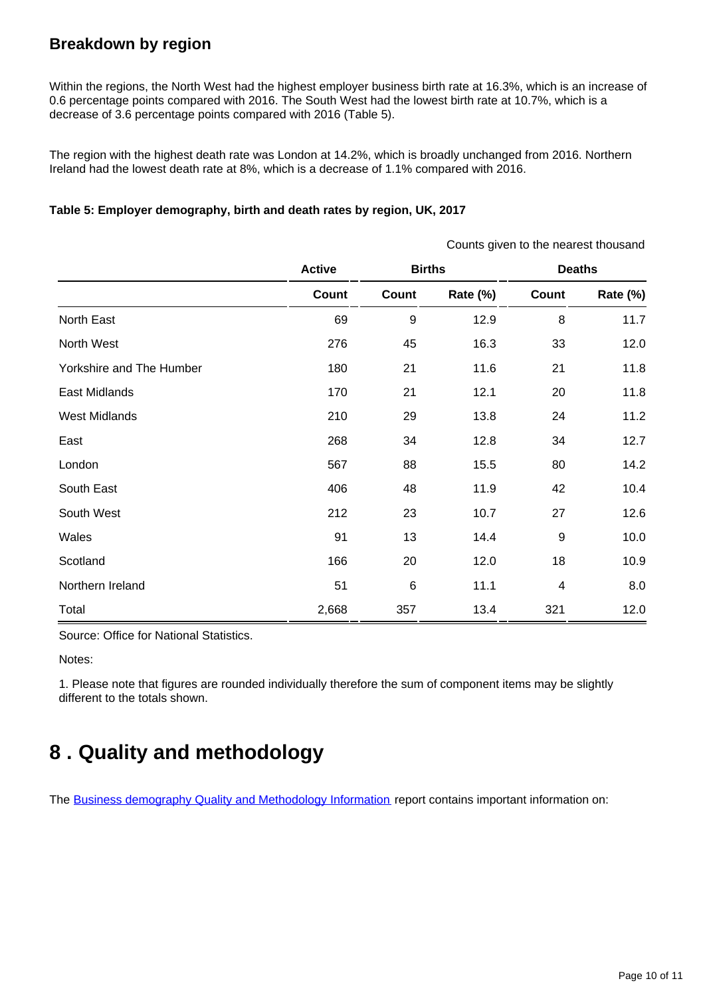### **Breakdown by region**

Within the regions, the North West had the highest employer business birth rate at 16.3%, which is an increase of 0.6 percentage points compared with 2016. The South West had the lowest birth rate at 10.7%, which is a decrease of 3.6 percentage points compared with 2016 (Table 5).

The region with the highest death rate was London at 14.2%, which is broadly unchanged from 2016. Northern Ireland had the lowest death rate at 8%, which is a decrease of 1.1% compared with 2016.

#### **Table 5: Employer demography, birth and death rates by region, UK, 2017**

|                          |               |         |               | Counts given to the nearest thousand |                 |  |  |
|--------------------------|---------------|---------|---------------|--------------------------------------|-----------------|--|--|
|                          | <b>Active</b> |         | <b>Births</b> |                                      | <b>Deaths</b>   |  |  |
|                          | Count         | Count   | Rate (%)      | Count                                | <b>Rate (%)</b> |  |  |
| North East               | 69            | 9       | 12.9          | 8                                    | 11.7            |  |  |
| North West               | 276           | 45      | 16.3          | 33                                   | 12.0            |  |  |
| Yorkshire and The Humber | 180           | 21      | 11.6          | 21                                   | 11.8            |  |  |
| East Midlands            | 170           | 21      | 12.1          | 20                                   | 11.8            |  |  |
| <b>West Midlands</b>     | 210           | 29      | 13.8          | 24                                   | 11.2            |  |  |
| East                     | 268           | 34      | 12.8          | 34                                   | 12.7            |  |  |
| London                   | 567           | 88      | 15.5          | 80                                   | 14.2            |  |  |
| South East               | 406           | 48      | 11.9          | 42                                   | 10.4            |  |  |
| South West               | 212           | 23      | 10.7          | 27                                   | 12.6            |  |  |
| Wales                    | 91            | 13      | 14.4          | 9                                    | 10.0            |  |  |
| Scotland                 | 166           | 20      | 12.0          | 18                                   | 10.9            |  |  |
| Northern Ireland         | 51            | $\,6\,$ | 11.1          | $\overline{4}$                       | 8.0             |  |  |
| Total                    | 2,668         | 357     | 13.4          | 321                                  | 12.0            |  |  |

Source: Office for National Statistics.

Notes:

1. Please note that figures are rounded individually therefore the sum of component items may be slightly different to the totals shown.

# <span id="page-9-0"></span>**8 . Quality and methodology**

The [Business demography Quality and Methodology Information](https://www.ons.gov.uk/businessindustryandtrade/business/activitysizeandlocation/qmis/businessdemographyqmi) report contains important information on: